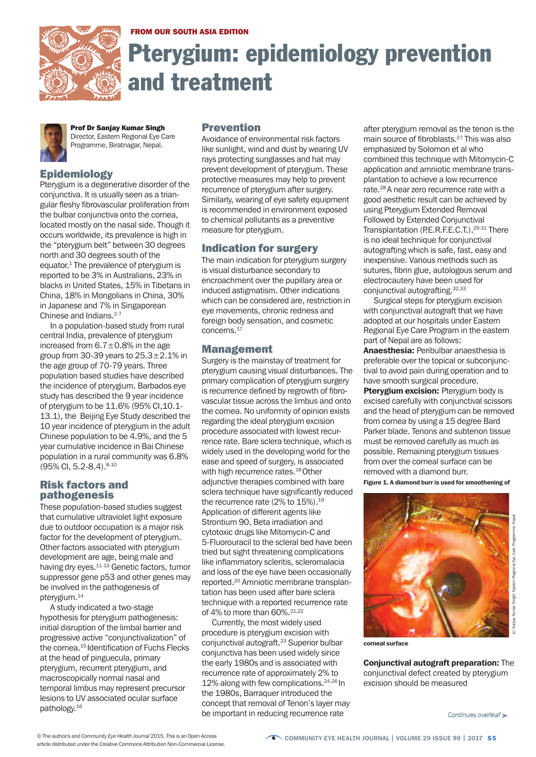

FROM OUR SOUTH ASIA EDITION

# Pterygium: epidemiology prevention and treatment



Prof Dr Sanjay Kumar Singh Director, Eastern Regional Eye Care Programme, Biratnagar, Nepal.

# **Epidemiology**

Pterygium is a degenerative disorder of the conjunctiva. It is usually seen as a triangular fleshy fibrovascular proliferation from the bulbar conjunctiva onto the cornea, located mostly on the nasal side. Though it occurs worldwide, its prevalence is high in the "pterygium belt" between 30 degrees north and 30 degrees south of the equator. <sup>1</sup> The prevalence of pterygium is reported to be 3% in Australians, 23% in blacks in United States, 15% in Tibetans in China, 18% in Mongolians in China, 30% in Japanese and 7% in Singaporean Chinese and Indians. 2-7

In a population-based study from rural central India, prevalence of pterygium increased from  $6.7 \pm 0.8\%$  in the age group from 30-39 years to 25.3±2.1% in the age group of 70-79 years. Three population based studies have described the incidence of pterygium. Barbados eye study has described the 9 year incidence of pterygium to be 11.6% (95% CI,10.1- 13.1), the Beijing Eye Study described the 10 year incidence of pterygium in the adult Chinese population to be 4.9%, and the 5 year cumulative incidence in Bai Chinese population in a rural community was 6.8% (95% CI, 5.2-8.4). 8-10

#### Risk factors and pathogenesis

These population-based studies suggest that cumulative ultraviolet light exposure due to outdoor occupation is a major risk factor for the development of pterygium. Other factors associated with pterygium development are age, being male and having dry eyes.<sup>11-13</sup> Genetic factors, tumor suppressor gene p53 and other genes may be involved in the pathogenesis of pterygium. 14

A study indicated a two-stage hypothesis for pterygium pathogenesis: initial disruption of the limbal barrier and progressive active "conjunctivalization" of the cornea. <sup>15</sup> Identification of Fuchs Flecks at the head of pinguecula, primary pterygium, recurrent pterygium, and macroscopically normal nasal and temporal limbus may represent precursor lesions to UV associated ocular surface pathology. 16

#### Prevention

Avoidance of environmental risk factors like sunlight, wind and dust by wearing UV rays protecting sunglasses and hat may prevent development of pterygium. These protective measures may help to prevent recurrence of pterygium after surgery. Similarly, wearing of eye safety equipment is recommended in environment exposed to chemical pollutants as a preventive measure for pterygium.

### Indication for surgery

The main indication for pterygium surgery is visual disturbance secondary to encroachment over the pupillary area or induced astigmatism. Other indications which can be considered are, restriction in eye movements, chronic redness and foreign body sensation, and cosmetic concerns. 17

## Management

Surgery is the mainstay of treatment for pterygium causing visual disturbances. The primary complication of pterygium surgery is recurrence defined by regrowth of fibrovascular tissue across the limbus and onto the cornea. No uniformity of opinion exists regarding the ideal pterygium excision procedure associated with lowest recurrence rate. Bare sclera technique, which is widely used in the developing world for the ease and speed of surgery, is associated with high recurrence rates. 18Other adjunctive therapies combined with bare sclera technique have significantly reduced the recurrence rate (2% to 15%). $^\mathrm{19}$ Application of different agents like Strontium 90, Beta irradiation and cytotoxic drugs like Mitomycin-C and 5-Fluorouracil to the scleral bed have been tried but sight threatening complications like inflammatory scleritis, scleromalacia and loss of the eye have been occasionally reported. <sup>20</sup> Amniotic membrane transplantation has been used after bare sclera technique with a reported recurrence rate of 4% to more than 60%. 21,22

Currently, the most widely used procedure is pterygium excision with conjunctival autograft. <sup>23</sup> Superior bulbar conjunctiva has been used widely since the early 1980s and is associated with recurrence rate of approximately 2% to 12% along with few complications. 24-26 In the 1980s, Barraquer introduced the concept that removal of Tenon's layer may be important in reducing recurrence rate

after pterygium removal as the tenon is the main source of fibroblasts. <sup>27</sup> This was also emphasized by Solomon et al who combined this technique with Mitomycin-C application and amniotic membrane transplantation to achieve a low recurrence rate. <sup>28</sup> A near zero recurrence rate with a good aesthetic result can be achieved by using Pterygium Extended Removal Followed by Extended Conjunctival Transplantation (P.E.R.F.E.C.T.).<sup>29-31</sup> There is no ideal technique for conjunctival autografting which is safe, fast, easy and inexpensive. Various methods such as sutures, fibrin glue, autologous serum and electrocautery have been used for conjunctival autografting. 32,33

Surgical steps for pterygium excision with conjunctival autograft that we have adopted at our hospitals under Eastern Regional Eye Care Program in the eastern part of Nepal are as follows:

Anaesthesia: Peribulbar anaesthesia is preferable over the topical or subconjunctival to avoid pain during operation and to have smooth surgical procedure.

**Ptervgium excision: Ptervgium body is** excised carefully with conjunctival scissors and the head of pterygium can be removed from cornea by using a 15 degree Bard Parker blade. Tenons and subtenon tissue must be removed carefully as much as possible. Remaining pterygium tissues from over the corneal surface can be removed with a diamond burr.

Figure 1. A diamond burr is used for smoothening of



corneal surface

Conjunctival autograft preparation: The conjunctival defect created by pterygium excision should be measured

Continues overleaf »